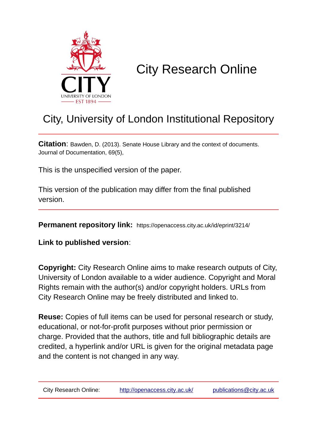

## City Research Online

## City, University of London Institutional Repository

**Citation**: Bawden, D. (2013). Senate House Library and the context of documents. Journal of Documentation, 69(5),

This is the unspecified version of the paper.

This version of the publication may differ from the final published version.

**Permanent repository link:** https://openaccess.city.ac.uk/id/eprint/3214/

**Link to published version**:

**Copyright:** City Research Online aims to make research outputs of City, University of London available to a wider audience. Copyright and Moral Rights remain with the author(s) and/or copyright holders. URLs from City Research Online may be freely distributed and linked to.

**Reuse:** Copies of full items can be used for personal research or study, educational, or not-for-profit purposes without prior permission or charge. Provided that the authors, title and full bibliographic details are credited, a hyperlink and/or URL is given for the original metadata page and the content is not changed in any way.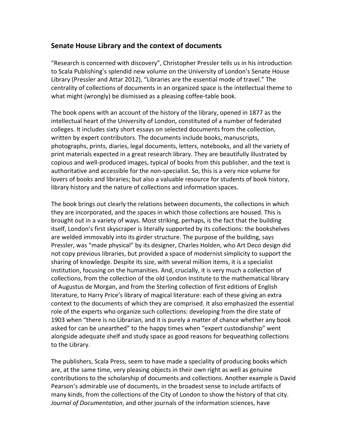## **Senate House Library and the context of documents**

"Research is concerned with discovery", Christopher Pressler tells us in his introduction to Scala Publishing's splendid new volume on the University of London's Senate House Library (Pressler and Attar 2012), "Libraries are the essential mode of travel." The centrality of collections of documents in an organized space is the intellectual theme to what might (wrongly) be dismissed as a pleasing coffee-table book.

The book opens with an account of the history of the library, opened in 1877 as the intellectual heart of the University of London, constituted of a number of federated colleges. It includes sixty short essays on selected documents from the collection, written by expert contributors. The documents include books, manuscripts, photographs, prints, diaries, legal documents, letters, notebooks, and all the variety of print materials expected in a great research library. They are beautifully illustrated by copious and well‐produced images, typical of books from this publisher, and the text is authoritative and accessible for the non‐specialist. So, this is a very nice volume for lovers of books and libraries; but also a valuable resource for students of book history, library history and the nature of collections and information spaces.

The book brings out clearly the relations between documents, the collections in which they are incorporated, and the spaces in which those collections are housed. This is brought out in a variety of ways. Most striking, perhaps, is the fact that the building itself, London's first skyscraper is literally supported by its collections: the bookshelves are welded immovably into its girder structure. The purpose of the building, says Pressler, was "made physical" by its designer, Charles Holden, who Art Deco design did not copy previous libraries, but provided a space of modernist simplicity to support the sharing of knowledge. Despite its size, with several million items, it is a specialist institution, focusing on the humanities. And, crucially, it is very much a collection of collections, from the collection of the old London Institute to the mathematical library of Augustus de Morgan, and from the Sterling collection of first editions of English literature, to Harry Price's library of magical literature: each of these giving an extra context to the documents of which they are comprised. It also emphasized the essential role of the experts who organize such collections: developing from the dire state of 1903 when "there is no Librarian, and it is purely a matter of chance whether any book asked for can be unearthed" to the happy times when "expert custodianship" went alongside adequate shelf and study space as good reasons for bequeathing collections to the Library.

The publishers, Scala Press, seem to have made a speciality of producing books which are, at the same time, very pleasing objects in their own right as well as genuine contributions to the scholarship of documents and collections. Another example is David Pearson's admirable use of documents, in the broadest sense to include artifacts of many kinds, from the collections of the City of London to show the history of that city. *Journal of Documentation*, and other journals of the information sciences, have